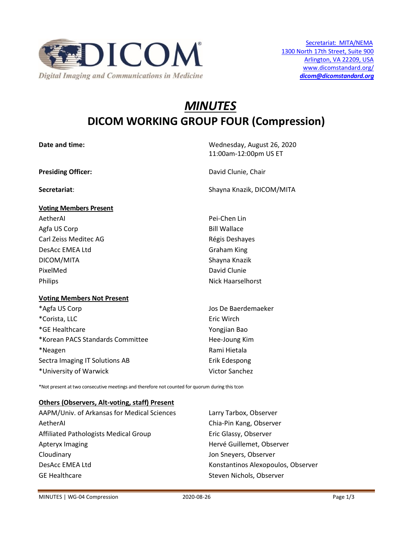

# *MINUTES* **DICOM WORKING GROUP FOUR (Compression)**

| Date and time:                    | Wednesday, August 26, 2020<br>11:00am-12:00pm US ET |
|-----------------------------------|-----------------------------------------------------|
| <b>Presiding Officer:</b>         | David Clunie, Chair                                 |
| Secretariat:                      | Shayna Knazik, DICOM/MITA                           |
| <b>Voting Members Present</b>     |                                                     |
| AetherAl                          | Pei-Chen Lin                                        |
| Agfa US Corp                      | <b>Bill Wallace</b>                                 |
| Carl Zeiss Meditec AG             | Régis Deshayes                                      |
| DesAcc EMEA Ltd                   | <b>Graham King</b>                                  |
| DICOM/MITA                        | Shayna Knazik                                       |
| PixelMed                          | David Clunie                                        |
| Philips                           | <b>Nick Haarselhorst</b>                            |
| <b>Voting Members Not Present</b> |                                                     |
| *Agfa US Corp                     | Jos De Baerdemaeker                                 |
| *Corista, LLC                     | Eric Wirch                                          |
| *GE Healthcare                    | Yongjian Bao                                        |
| *Korean PACS Standards Committee  | Hee-Joung Kim                                       |
| *Neagen                           | Rami Hietala                                        |
| Sectra Imaging IT Solutions AB    | Erik Edespong                                       |

\*Not present at two consecutive meetings and therefore not counted for quorum during this tcon

\*University of Warwick Victor Sanchez

#### **Others (Observers, Alt-voting, staff) Present**

| AAPM/Univ. of Arkansas for Medical Sciences | Larry Tarbox, Observer             |
|---------------------------------------------|------------------------------------|
| AetherAl                                    | Chia-Pin Kang, Observer            |
| Affiliated Pathologists Medical Group       | Eric Glassy, Observer              |
| Apteryx Imaging                             | Hervé Guillemet, Observer          |
| Cloudinary                                  | Jon Sneyers, Observer              |
| DesAcc EMEA Ltd                             | Konstantinos Alexopoulos, Observer |
| <b>GE Healthcare</b>                        | Steven Nichols, Observer           |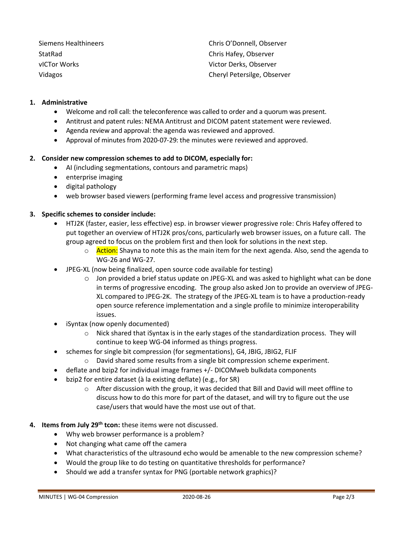Siemens Healthineers Chris O'Donnell, Observer StatRad Chris Hafey, Observer vICTor Works Victor Derks, Observer Vidagos Cheryl Petersilge, Observer

### **1. Administrative**

- Welcome and roll call: the teleconference was called to order and a quorum was present.
- Antitrust and patent rules: NEMA Antitrust and DICOM patent statement were reviewed.
- Agenda review and approval: the agenda was reviewed and approved.
- Approval of minutes from 2020-07-29: the minutes were reviewed and approved.

#### **2. Consider new compression schemes to add to DICOM, especially for:**

- AI (including segmentations, contours and parametric maps)
- enterprise imaging
- digital pathology
- web browser based viewers (performing frame level access and progressive transmission)

#### **3. Specific schemes to consider include:**

- HTJ2K (faster, easier, less effective) esp. in browser viewer progressive role: Chris Hafey offered to put together an overview of HTJ2K pros/cons, particularly web browser issues, on a future call. The group agreed to focus on the problem first and then look for solutions in the next step.
	- o **Action:** Shayna to note this as the main item for the next agenda. Also, send the agenda to WG-26 and WG-27.
- JPEG-XL (now being finalized, open source code available for testing)
	- o Jon provided a brief status update on JPEG-XL and was asked to highlight what can be done in terms of progressive encoding. The group also asked Jon to provide an overview of JPEG-XL compared to JPEG-2K. The strategy of the JPEG-XL team is to have a production-ready open source reference implementation and a single profile to minimize interoperability issues.
- iSyntax (now openly documented)
	- o Nick shared that iSyntax is in the early stages of the standardization process. They will continue to keep WG-04 informed as things progress.
- schemes for single bit compression (for segmentations), G4, JBIG, JBIG2, FLIF
	- o David shared some results from a single bit compression scheme experiment.
- deflate and bzip2 for individual image frames +/- DICOMweb bulkdata components
- bzip2 for entire dataset (à la existing deflate) (e.g., for SR)
	- o After discussion with the group, it was decided that Bill and David will meet offline to discuss how to do this more for part of the dataset, and will try to figure out the use case/users that would have the most use out of that.
- **4. Items from July 29th tcon:** these items were not discussed.
	- Why web browser performance is a problem?
	- Not changing what came off the camera
	- What characteristics of the ultrasound echo would be amenable to the new compression scheme?
	- Would the group like to do testing on quantitative thresholds for performance?
	- Should we add a transfer syntax for PNG (portable network graphics)?